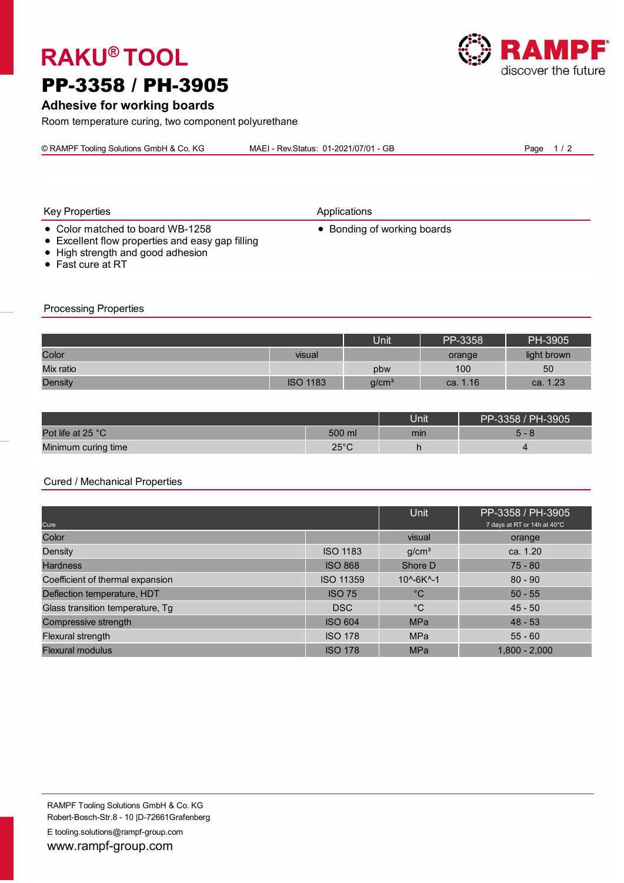# **RAKU® TOOL**

# PP-3358 / PH-3905

## **Adhesive for working boards**

Room temperature curing, two component polyurethane

© RAMPF Tooling Solutions GmbH & Co. KG MAEI - Rev.Status: 01-2021/07/01 - GB Page 1/2



Key Properties **Applications** 

- Color matched to board WB-1258 Bonding of working boards
- Excellent flow properties and easy gap filling
- High strength and good adhesion
- Fast cure at RT

Processing Properties

Unit | PP-3358 | PH-3905 Mix ratio pbw 100 50 Density is a called the case of the case of the ISO 1183 g/cm $^{3}$  g/cm $^{3}$  ca. 1.16 ca. 1.23 ca. 1.23 Color visual orange light brown

|                     |                | <b>Jnit</b> | PP-3358 / PH-3905 |
|---------------------|----------------|-------------|-------------------|
| Pot life at 25 °C   | 500 ml         | min         | ∽<br>- റ          |
| Minimum curing time | $25^{\circ}$ C |             |                   |

#### Cured / Mechanical Properties

| Cure                             |                  | Unit                          | PP-3358 / PH-3905<br>7 days at RT or 14h at 40°C |  |
|----------------------------------|------------------|-------------------------------|--------------------------------------------------|--|
| Color                            |                  | visual                        | orange                                           |  |
| Density                          | <b>ISO 1183</b>  | g/cm <sup>3</sup>             | ca. $1.20$                                       |  |
| <b>Hardness</b>                  | <b>ISO 868</b>   | Shore D                       | $75 - 80$                                        |  |
| Coefficient of thermal expansion | <b>ISO 11359</b> | $10^{\circ} - 6K^{\circ} - 1$ | $80 - 90$                                        |  |
| Deflection temperature, HDT      | <b>ISO 75</b>    | $^{\circ}C$                   | $50 - 55$                                        |  |
| Glass transition temperature, Tg | <b>DSC</b>       | $^{\circ}C$                   | $45 - 50$                                        |  |
| Compressive strength             | <b>ISO 604</b>   | <b>MPa</b>                    | $48 - 53$                                        |  |
| Flexural strength                | <b>ISO 178</b>   | <b>MPa</b>                    | $55 - 60$                                        |  |
| <b>Flexural modulus</b>          | <b>ISO 178</b>   | <b>MPa</b>                    | $1,800 - 2,000$                                  |  |

E tooling.solutions@rampf-group.com www.rampf-group.com